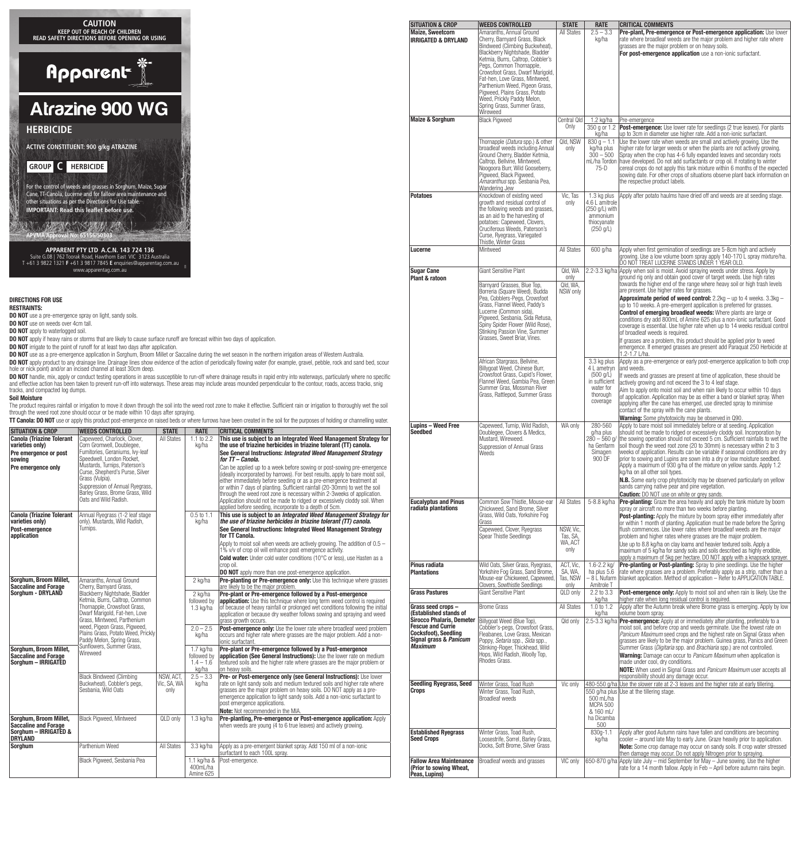

# **DIRECTIONS FOR USE**

### **RESTRAINTS:**

- **DO NOT** use a pre-emergence spray on light, sandy soils.
- **DO NOT** use on weeds over 4cm tall.
- **DO NOT** apply to waterlogged soil.
- **DO NOT** apply if heavy rains or storms that are likely to cause surface runoff are forecast within two days of application.
- **DO NOT** irrigate to the point of runoff for at least two days after application.

DO NOT use as a pre-emergence application in Sorghum, Broom Millet or Saccaline during the wet season in the northern irrigation areas of Western Australia. **DO NOT** apply product to any drainage line. Drainage lines show evidence of the action of periodically flowing water (for example, gravel, pebble, rock and sand bed, scour<br>hole or nick point) and/or an incised channel at

**DO NOT** handle, mix, apply or conduct testing operations in areas susceptible to run-off where drainage results in rapid entry into waterways, particularly where no specific<br>and effective action has been taken to prevent tracks, and compacted log dumps.

#### **Soil Moisture**

The product requires rainfall or irrigation to move it down through the soil into the weed root zone to make it effective. Sufficient rain or irrigation to thoroughly wet the soil through the weed root zone should occur or be made within 10 days after spraying.

**TT Canola: DO NOT** use or apply this product post-emergence on raised beds or where furrows have been created in the soil for the purposes of holding or channelling water.

| <b>SITUATION &amp; CROP</b>                                                                      | <b>WEEDS CONTROLLED</b>                                                                                                                                                                                                                                                                                                                                              | <b>STATE</b>                     | <b>RATE</b>                                      | <b>CRITICAL COMMENTS</b>                                                                                                                                                                                                                                                                                                                                                                                                                                                                                                          |
|--------------------------------------------------------------------------------------------------|----------------------------------------------------------------------------------------------------------------------------------------------------------------------------------------------------------------------------------------------------------------------------------------------------------------------------------------------------------------------|----------------------------------|--------------------------------------------------|-----------------------------------------------------------------------------------------------------------------------------------------------------------------------------------------------------------------------------------------------------------------------------------------------------------------------------------------------------------------------------------------------------------------------------------------------------------------------------------------------------------------------------------|
| <b>Canola (Triazine Tolerant</b><br>varieties only)<br>Pre emergence or post<br>sowing           | Capeweed, Charlock, Clover,<br>Corn Gromwell, Doublegee,<br>Fumitories, Geraniums, Ivy-leaf<br>Speedwell, London Rocket,<br>Mustards, Turnips, Paterson's                                                                                                                                                                                                            | All States                       | 1.1 to 2.2<br>kg/ha                              | This use is subject to an Integrated Weed Management Strategy for<br>the use of triazine herbicides in triazine tolerant (TT) canola.<br>See General Instructions: Integrated Weed Management Strategy<br>for TT - Canola.                                                                                                                                                                                                                                                                                                        |
| Pre emergence only                                                                               | Curse, Shepherd's Purse, Silver<br>Grass (Vulpia).<br>Suppression of Annual Ryegrass,<br>Barley Grass, Brome Grass, Wild<br>Oats and Wild Radish.                                                                                                                                                                                                                    |                                  |                                                  | Can be applied up to a week before sowing or post-sowing pre-emergence<br>(ideally incorporated by harrows). For best results, apply to bare moist soil,<br>either immediately before seeding or as a pre-emergence treatment at<br>or within 7 days of planting. Sufficient rainfall (20-30mm) to wet the soil<br>through the weed root zone is necessary within 2-3weeks of application.<br>Application should not be made to ridged or excessively cloddy soil. When<br>applied before seeding, incorporate to a depth of 5cm. |
| <b>Canola (Triazine Tolerant)</b><br>varieties only)<br>Post-emergence<br>application            | Annual Ryegrass (1-2 leaf stage<br>only). Mustards, Wild Radish,<br>Turnips.                                                                                                                                                                                                                                                                                         |                                  | $0.5$ to 1.1<br>kg/ha                            | This use is subject to an Integrated Weed Management Strategy for<br>the use of triazine herbicides in triazine tolerant (TT) canola.<br>See General Instructions: Integrated Weed Management Strategy<br>for TT Canola.<br>Apply to moist soil when weeds are actively growing. The addition of $0.5 -$                                                                                                                                                                                                                          |
|                                                                                                  |                                                                                                                                                                                                                                                                                                                                                                      |                                  |                                                  | 1% v/v of crop oil will enhance post emergence activity.<br><b>Cold water:</b> Under cold water conditions (10°C or less), use Hasten as a<br>crop oil.<br>DO NOT apply more than one post-emergence application.                                                                                                                                                                                                                                                                                                                 |
| Sorghum, Broom Millet,<br><b>Saccaline and Forage</b><br>Sorghum - DRYLAND                       | Amaranths, Annual Ground<br>Cherry, Barnyard Grass,<br>Blackberry Nightshade, Bladder<br>Ketmia, Burrs, Caltrop, Common<br>Thornapple, Crowsfoot Grass,<br>Dwarf Marigold, Fat-hen, Love<br>Grass, Mintweed, Parthenium<br>weed, Pigeon Grass, Pigweed,<br>Plains Grass, Potato Weed, Prickly<br>Paddy Melon, Spring Grass,<br>Sunflowers, Summer Grass,<br>Wireweed |                                  | 2 kg/ha                                          | Pre-planting or Pre-emergence only: Use this technique where grasses<br>are likely to be the maior problem.                                                                                                                                                                                                                                                                                                                                                                                                                       |
|                                                                                                  |                                                                                                                                                                                                                                                                                                                                                                      |                                  | 2 kg/ha<br>followed by<br>$1.3$ kg/ha            | Pre-plant or Pre-emergence followed by a Post-emergence<br><b>application:</b> Use this technique where long term weed control is required<br>of because of heavy rainfall or prolonged wet conditions following the initial<br>application or because dry weather follows sowing and spraying and weed<br>grass growth occurs.                                                                                                                                                                                                   |
|                                                                                                  |                                                                                                                                                                                                                                                                                                                                                                      |                                  | $2.0 - 2.5$<br>kg/ha                             | Post-emergence only: Use the lower rate where broadleaf weed problem<br>occurs and higher rate where grasses are the major problem. Add a non-<br>ionic surfactant.                                                                                                                                                                                                                                                                                                                                                               |
| <b>Sorghum, Broom Millet,</b><br><b>Saccaline and Forage</b><br>Sorghum - IRRIGATED              |                                                                                                                                                                                                                                                                                                                                                                      |                                  | 1.7 kg/ha<br>followed by<br>$1.4 - 1.6$<br>kg/ha | Pre-plant or Pre-emergence followed by a Post-emergence<br>application (See General Instructions): Use the lower rate on medium<br>textured soils and the higher rate where grasses are the major problem or<br>on heavy soils.                                                                                                                                                                                                                                                                                                   |
|                                                                                                  | <b>Black Bindweed (Climbing</b><br>Buckwheat), Cobbler's pegs,<br>Sesbania, Wild Oats                                                                                                                                                                                                                                                                                | NSW. ACT.<br>Vic, SA, WA<br>only | $2.5 - 3.3$<br>kg/ha                             | Pre- or Post-emergence only (see General Instructions): Use lower<br>rate on light sandy soils and medium textured soils and higher rate where<br>grasses are the major problem on heavy soils. DO NOT apply as a pre-<br>emergence application to light sandy soils. Add a non-ionic surfactant to<br>post emergence applications.<br><b>Note:</b> Not recommended in the MIA.                                                                                                                                                   |
| Sorghum, Broom Millet,<br><b>Saccaline and Forage</b><br>Sorghum - IRRIGATED &<br><b>DRYLAND</b> | Black Pigweed, Mintweed                                                                                                                                                                                                                                                                                                                                              | QLD only                         | $1.3$ kg/ha                                      | Pre-planting, Pre-emergence or Post-emergence application: Apply<br>when weeds are young (4 to 6 true leaves) and actively growing.                                                                                                                                                                                                                                                                                                                                                                                               |
| Sorghum                                                                                          | Parthenium Weed                                                                                                                                                                                                                                                                                                                                                      | All States                       | 3.3 kg/ha                                        | Apply as a pre-emergent blanket spray. Add 150 ml of a non-ionic<br>surfactant to each 100L spray.                                                                                                                                                                                                                                                                                                                                                                                                                                |
|                                                                                                  | Black Pigweed, Sesbania Pea                                                                                                                                                                                                                                                                                                                                          |                                  | 1.1 kg/ha &<br>400mL/ha<br>Amine 625             | Post-emergence.                                                                                                                                                                                                                                                                                                                                                                                                                                                                                                                   |

| <b>Maize, Sweetcorn</b><br><b>IRRIGATED &amp; DRYLAND</b>                                                                                                                                | Amaranths, Annual Ground<br>Cherry, Barnyard Grass, Black<br>Bindweed (Climbing Buckwheat),<br>Blackberry Nightshade, Bladder<br>Ketmia, Burrs, Caltrop, Cobbler's<br>Pegs, Common Thornapple,<br>Crowsfoot Grass, Dwarf Marigold,<br>Fat-hen, Love Grass, Mintweed,<br>Parthenium Weed, Pigeon Grass,<br>Pigweed, Plains Grass, Potato<br>Weed, Prickly Paddy Melon,<br>Spring Grass, Summer Grass,<br>Wireweed | <b>All States</b>                                      | $2.5 - 3.3$<br>kg/ha                                                                                    | Pre-plant, Pre-emergence or Post-emergence application: Use lower<br>rate where broadleaf weeds are the major problem and higher rate where<br>grasses are the major problem or on heavy soils.<br>For post-emergence application use a non-ionic surfactant.                                                                                                                                                                                                                                                                                                                                                                                                                                                                                                  |
|------------------------------------------------------------------------------------------------------------------------------------------------------------------------------------------|------------------------------------------------------------------------------------------------------------------------------------------------------------------------------------------------------------------------------------------------------------------------------------------------------------------------------------------------------------------------------------------------------------------|--------------------------------------------------------|---------------------------------------------------------------------------------------------------------|----------------------------------------------------------------------------------------------------------------------------------------------------------------------------------------------------------------------------------------------------------------------------------------------------------------------------------------------------------------------------------------------------------------------------------------------------------------------------------------------------------------------------------------------------------------------------------------------------------------------------------------------------------------------------------------------------------------------------------------------------------------|
| <b>Maize &amp; Sorghum</b>                                                                                                                                                               | <b>Black Pigweed</b>                                                                                                                                                                                                                                                                                                                                                                                             | Central Old                                            | $1.2$ kg/ha                                                                                             | Pre-emergence                                                                                                                                                                                                                                                                                                                                                                                                                                                                                                                                                                                                                                                                                                                                                  |
|                                                                                                                                                                                          | Thornapple ( <i>Datura</i> spp.) & other<br>broadleaf weeds including Annual<br>Ground Cherry, Bladder Ketmia,<br>Caltrop, Bellvine, Mintweed,<br>Noogoora Burr, Wild Gooseberry,<br>Pigweed, Black Pigweed,<br>Amaranthus spp. Sesbania Pea,<br>Wandering Jew                                                                                                                                                   | Only<br>Qld, NSW<br>only                               | 350 g or 1.2<br>kg/ha<br>$\overline{830}$ g - 1.1<br>kg/ha plus<br>$300 - 500$<br>$75-D$                | <b>Post-emergence:</b> Use lower rate for seedlings (2 true leaves). For plants<br>up to 3cm in diameter use higher rate. Add a non-ionic surfactant.<br>Use the lower rate when weeds are small and actively growing. Use the<br>higher rate for larger weeds or when the plants are not actively growing.<br>Spray when the crop has 4-6 fully expanded leaves and secondary roots<br>mL/ha Tordon have developed. Do not add surfactants or crop oil. If rotating to winter<br>cereal crops do not apply this tank mixture within 6 months of the expected<br>sowing date. For other crops of situations observe plant back information on<br>the respective product labels.                                                                                |
| <b>Potatoes</b>                                                                                                                                                                          | Knockdown of existing weed<br>growth and residual control of<br>the following weeds and grasses,<br>as an aid to the harvesting of<br>potatoes: Capeweed, Clovers,<br>Cruciferous Weeds, Paterson's<br>Curse, Ryegrass, Variegated<br>Thistle, Winter Grass                                                                                                                                                      | Vic, Tas<br>only                                       | 1.3 kg plus<br>4.6 L amitrole<br>(250 g/L) with<br>ammonium<br>thiocyanate<br>(250 g/L)                 | Apply after potato haulms have dried off and weeds are at seeding stage.                                                                                                                                                                                                                                                                                                                                                                                                                                                                                                                                                                                                                                                                                       |
| Lucerne                                                                                                                                                                                  | Mintweed                                                                                                                                                                                                                                                                                                                                                                                                         | <b>All States</b>                                      | 600 g/ha                                                                                                | Apply when first germination of seedlings are 5-8cm high and actively<br>growing. Use a low volume boom spray apply 140-170 L spray mixture/ha.<br> ĎO NOŤ TREAT LUCERNE STANDS UNDER 1 YEAR OLD.                                                                                                                                                                                                                                                                                                                                                                                                                                                                                                                                                              |
| <b>Sugar Cane</b>                                                                                                                                                                        | Giant Sensitive Plant                                                                                                                                                                                                                                                                                                                                                                                            | Qld, WA<br>only                                        |                                                                                                         | 2.2-3.3 kg/ha Apply when soil is moist. Avoid spraying weeds under stress. Apply by<br>ground rig only and obtain good cover of target weeds. Use high rates                                                                                                                                                                                                                                                                                                                                                                                                                                                                                                                                                                                                   |
| Plant & ratoon                                                                                                                                                                           | Barnyard Grasses, Blue Top,<br>Borreria (Square Weed), Budda<br>Pea, Cobblers-Pegs, Crowsfoot<br>Grass, Flannel Weed, Paddy's<br>Lucerne (Common sida),<br>Pigweed, Sesbania, Sida Retusa,<br>Spiny Spider Flower (Wild Rose),<br>Stinking Passion Vine, Summer<br>Grasses, Sweet Briar, Vines.                                                                                                                  | Qld, WA,<br>NSW only                                   |                                                                                                         | towards the higher end of the range where heavy soil or high trash levels<br>are present. Use higher rates for grasses.<br><b>Approximate period of weed control:</b> $2.2\text{kg} - \text{up to 4 weeks.}$ $3.3\text{kg} -$<br>up to 10 weeks. A pre-emergent application is preferred for grasses.<br><b>Control of emerging broadleaf weeds:</b> Where plants are large or<br>conditions dry add 800mL of Amine 625 plus a non-ionic surfactant. Good<br>coverage is essential. Use higher rate when up to 14 weeks residual control<br>of broadleaf weeds is required.<br>If grasses are a problem, this product should be applied prior to weed<br>emergence. If emerged grasses are present add Paraguat 250 Herbicide at<br>1.2-1.7 L/ha.              |
|                                                                                                                                                                                          | African Stargrass, Bellvine,<br>Billygoat Weed, Chinese Burr,<br>Crowsfoot Grass, Cupid's Flower,<br>Flannel Weed, Gambia Pea, Green<br>Summer Gras, Mossman River<br>Grass, Rattlepod, Summer Grass                                                                                                                                                                                                             |                                                        | 3.3 kg plus<br>4 L ametryn<br>$(500 \text{ q/L})$<br>in sufficient<br>water for<br>thorough<br>coverage | Apply as a pre-emergence or early post-emergence application to both crop<br>and weeds.<br>If weeds and grasses are present at time of application, these should be<br>actively growing and not exceed the 3 to 4 leaf stage.<br>Aim to apply onto moist soil and when rain likely to occur within 10 days<br>of application. Application may be as either a band or blanket spray. When<br>applying after the cane has emerged, use directed spray to minimise<br>contact of the spray with the cane plants.<br>Warning: Some phytotoxicity may be observed in Q90.                                                                                                                                                                                           |
| <b>Lupins - Weed Free</b><br><b>Seedbed</b>                                                                                                                                              | Capeweed, Turnip, Wild Radish,<br>Doublegee, Clovers & Medics,<br>Mustard, Wireweed.<br>Suppression of Annual Grass<br>Weeds                                                                                                                                                                                                                                                                                     | WA only                                                | 280-560<br>g/ha plus<br>$280 - 560$ a/<br>ha Genfarm<br>Simagen<br>900 DF                               | Apply to bare moist soil immediately before or at seeding. Application<br>should not be made to ridged or excessively cloddy soil. Incorporation by<br>the sowing operation should not exceed 5 cm. Sufficient rainfalls to wet the<br>soil though the weed root zone (20 to 30mm) is necessary within 2 to 3<br>weeks of application. Results can be variable if seasonal conditions are dry<br>prior to sowing and Lupins are sown into a dry or low moisture seedbed.<br>Apply a maximum of 930 g/ha of the mixture on yellow sands. Apply 1.2<br>kg/ha on all other soil types.<br>N.B. Some early crop phytotoxicity may be observed particularly on yellow<br>sands carrying native pear and pine vegetation.                                            |
| <b>Eucalyptus and Pinus</b><br>radiata plantations                                                                                                                                       | Common Sow Thistle, Mouse-ear<br>Chickweed, Sand Brome, Silver<br>Grass, Wild Oats, Yorkshire Fog<br>Grass<br>Capeweed, Clover, Ryegrass<br>Spear Thistle Seedlings                                                                                                                                                                                                                                              | All States<br>NSW, Vic.<br>Tas, SA,<br>WA, ACT<br>only | 5-8.8 kg/ha                                                                                             | <b>Caution:</b> DO NOT use on white or grev sands.<br><b>Pre-planting:</b> Graze the area heavily and apply the tank mixture by boom<br>spray or aircraft no more than two weeks before planting.<br><b>Post-planting:</b> Apply the mixture by boom spray either immediately after<br>or within 1 month of planting. Application must be made before the Spring<br>flush commences. Use lower rates where broadleaf weeds are the major<br>problem and higher rates where grasses are the major problem.<br>Use up to 8.8 kg/ha on clay loams and heavier textured soils. Apply a<br>maximum of 5 kg/ha for sandy soils and soils described as highly erodible,<br>apply a maximum of 5kg per hectare. DO NOT apply with a knapsack sprayer.                  |
| Pinus radiata<br><b>Plantations</b>                                                                                                                                                      | Wild Oats, Silver Grass, Ryegrass,<br>Yorkshire Fog Grass, Sand Brome,<br>Mouse-ear Chickweed, Capeweed,<br>Clovers, Sowthistle Seedlings                                                                                                                                                                                                                                                                        | ACT, Vic.<br>SA, WA,<br>Tas, NSW<br>only               | $1.6 - 2.2$ kg/<br>ha plus 5.6<br>– 8 L Nufarm<br>Amitrole T                                            | Pre-planting or Post-planting: Spray to pine seedlings. Use the higher<br>rate where grasses are a problem. Preferably apply as a strip, rather than a<br>blanket application. Method of application - Refer to APPLICATION TABLE.                                                                                                                                                                                                                                                                                                                                                                                                                                                                                                                             |
| <b>Grass Pastures</b>                                                                                                                                                                    | <b>Giant Sensitive Plant</b>                                                                                                                                                                                                                                                                                                                                                                                     | QLD only                                               | $2.\overline{2}$ to $3.\overline{3}$<br>kg/ha                                                           | <b>Post-emergence only:</b> Apply to moist soil and when rain is likely. Use the<br>higher rate when long residual control is required.                                                                                                                                                                                                                                                                                                                                                                                                                                                                                                                                                                                                                        |
| Grass seed crops -<br>(Established stands of<br><b>Sirocco Phalaris, Demeter</b><br><b>Fescue and Currie</b><br><b>Cocksfoot</b> ), Seedling<br>Signal grass & Panicum<br><b>Maximum</b> | <b>Brome Grass</b><br>Billygoat Weed (Blue Top),<br>Cobbler's-pegs, Crowsfoot Grass,<br>Fleabanes, Love Grass, Mexican<br>Poppy, Setaria spp., Sida spp.,<br>Stinking-Roger, Thickhead, Wild<br>Hops, Wild Radish, Woolly Top,<br>Rhodes Grass.                                                                                                                                                                  | <b>All States</b><br>Qld only                          | 1.0 to 1.2<br>kg/ha                                                                                     | Apply after the Autumn break where Brome grass is emerging. Apply by low<br>volume boom spray.<br>2.5-3.3 kg/ha <b>Pre-emergence:</b> Apply at or immediately after planting, preferably to a<br>moist soil, and before crop and weeds germinate. Use the lowest rate on<br>Panicum Maximum seed crops and the highest rate on Signal Grass when<br>grasses are likely to be the major problem. Guinea grass, Panics and Green<br>Summer Grass (Digitaria spp. and Brachiaria spp.) are not controlled.<br><b>Warning:</b> Damage can occur to <i>Panicum Maximum</i> when application is<br>made under cool, dry conditions.<br><b>NOTE:</b> When used in Signal Grass and <i>Panicum Maximum</i> user accepts all<br>responsibility should any damage occur. |
| <b>Seedling Ryegrass, Seed</b><br>Crops                                                                                                                                                  | Winter Grass, Toad Rush<br>Winter Grass, Toad Rush,<br><b>Broadleaf weeds</b>                                                                                                                                                                                                                                                                                                                                    | Vic only                                               | 500 mL/ha<br><b>MCPA 500</b><br>& 160 mL/<br>ha Dicamba<br>500                                          | 480-550 g/ha Use the slower rate at 2-3 leaves and the higher rate at early tillering.<br>550 g/ha plus Use at the tillering stage.                                                                                                                                                                                                                                                                                                                                                                                                                                                                                                                                                                                                                            |
| <b>Established Ryegrass</b><br><b>Seed Crops</b>                                                                                                                                         | Winter Grass, Toad Rush,<br>Loosestrife, Sorrel, Barley Grass,<br>Docks, Soft Brome, Silver Grass                                                                                                                                                                                                                                                                                                                |                                                        | 830g-1.1<br>kg/ha                                                                                       | Apply after good Autumn rains have fallen and conditions are becoming<br>cooler – around late May to early June. Graze heavily prior to application.<br>Note: Some crop damage may occur on sandy soils. If crop water stressed                                                                                                                                                                                                                                                                                                                                                                                                                                                                                                                                |
| <b>Fallow Area Maintenance</b><br>(Prior to sowing Wheat,<br> Peas, Lupins)                                                                                                              | Broadleaf weeds and grasses                                                                                                                                                                                                                                                                                                                                                                                      | VIC only                                               |                                                                                                         | then damage may occur. Do not apply Nitrogen prior to spraying.<br>650-870 g/ha Apply late July - mid September for May - June sowing. Use the higher<br>rate for a 14 month fallow. Apply in Feb - April before autumn rains begin.                                                                                                                                                                                                                                                                                                                                                                                                                                                                                                                           |

**SITUATION & CROP WEEDS CONTROLLED STATE RATE CRITICAL COMMENTS**